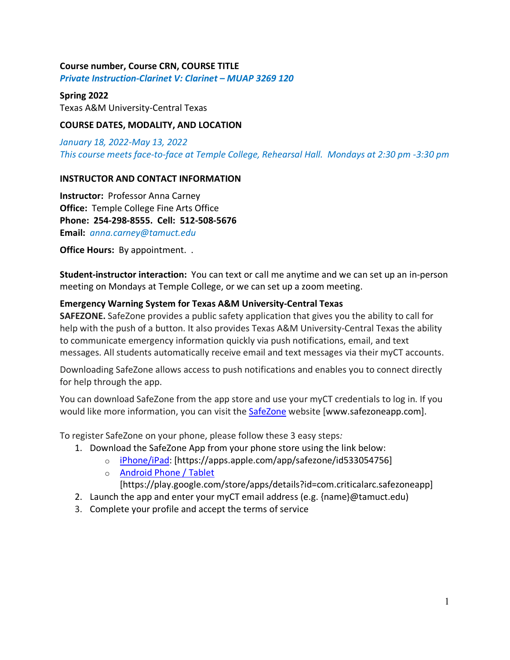## **Course number, Course CRN, COURSE TITLE**

*Private Instruction-Clarinet V: Clarinet – MUAP 3269 120*

#### **Spring 2022**

Texas A&M University-Central Texas

## **COURSE DATES, MODALITY, AND LOCATION**

*January 18, 2022-May 13, 2022 This course meets face-to-face at Temple College, Rehearsal Hall. Mondays at 2:30 pm -3:30 pm*

## **INSTRUCTOR AND CONTACT INFORMATION**

**Instructor:** Professor Anna Carney **Office:** Temple College Fine Arts Office **Phone: 254-298-8555. Cell: 512-508-5676 Email:** *anna.carney@tamuct.edu*

**Office Hours:** By appointment. .

**Student-instructor interaction:** You can text or call me anytime and we can set up an in-person meeting on Mondays at Temple College, or we can set up a zoom meeting.

## **Emergency Warning System for Texas A&M University-Central Texas**

**SAFEZONE.** SafeZone provides a public safety application that gives you the ability to call for help with the push of a button. It also provides Texas A&M University-Central Texas the ability to communicate emergency information quickly via push notifications, email, and text messages. All students automatically receive email and text messages via their myCT accounts.

Downloading SafeZone allows access to push notifications and enables you to connect directly for help through the app.

You can download SafeZone from the app store and use your myCT credentials to log in. If you would like more information, you can visit the **SafeZone** website [www.safezoneapp.com].

To register SafeZone on your phone, please follow these 3 easy steps*:*

- 1. Download the SafeZone App from your phone store using the link below:
	- o iPhone/iPad: [https://apps.apple.com/app/safezone/id533054756]
	- o Android Phone / Tablet
		- [https://play.google.com/store/apps/details?id=com.criticalarc.safezoneapp]
- 2. Launch the app and enter your myCT email address (e.g. {name}@tamuct.edu)
- 3. Complete your profile and accept the terms of service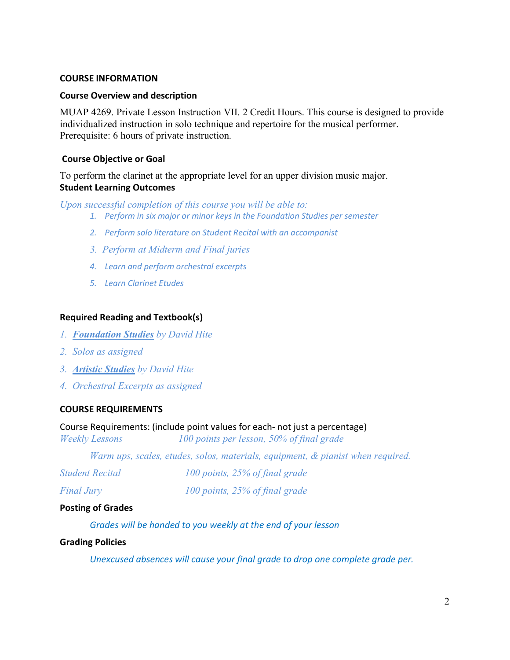#### **COURSE INFORMATION**

## **Course Overview and description**

MUAP 4269. Private Lesson Instruction VII. 2 Credit Hours. This course is designed to provide individualized instruction in solo technique and repertoire for the musical performer. Prerequisite: 6 hours of private instruction.

## **Course Objective or Goal**

To perform the clarinet at the appropriate level for an upper division music major. **Student Learning Outcomes**

*Upon successful completion of this course you will be able to:*

- *1. Perform in six major or minor keys in the Foundation Studies per semester*
- *2. Perform solo literature on Student Recital with an accompanist*
- *3. Perform at Midterm and Final juries*
- *4. Learn and perform orchestral excerpts*
- *5. Learn Clarinet Etudes*

#### **Required Reading and Textbook(s)**

- *1. Foundation Studies by David Hite*
- *2. Solos as assigned*
- *3. Artistic Studies by David Hite*
- *4. Orchestral Excerpts as assigned*

#### **COURSE REQUIREMENTS**

#### Course Requirements: (include point values for each- not just a percentage)

*Weekly Lessons 100 points per lesson, 50% of final grade*

*Warm ups, scales, etudes, solos, materials, equipment, & pianist when required.*

| <b>Student Recital</b> | 100 points, 25% of final grade |
|------------------------|--------------------------------|
| <b>Final Jury</b>      | 100 points, 25% of final grade |

#### **Posting of Grades**

*Grades will be handed to you weekly at the end of your lesson*

## **Grading Policies**

*Unexcused absences will cause your final grade to drop one complete grade per.*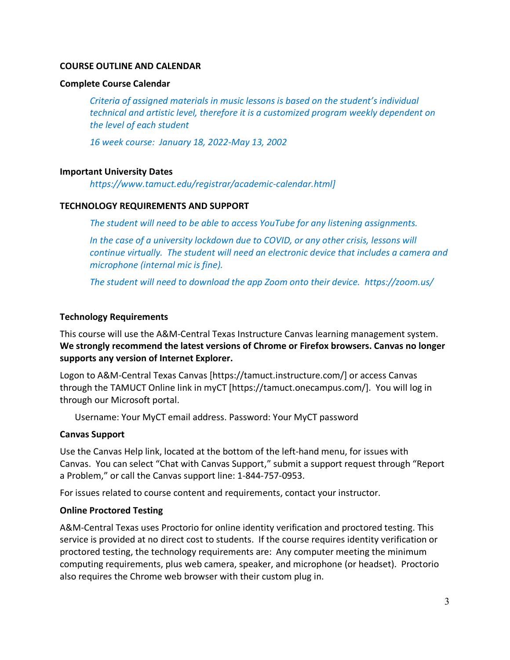## **COURSE OUTLINE AND CALENDAR**

#### **Complete Course Calendar**

*Criteria of assigned materials in music lessons is based on the student's individual technical and artistic level, therefore it is a customized program weekly dependent on the level of each student*

*16 week course: January 18, 2022-May 13, 2002*

## **Important University Dates**

*https://www.tamuct.edu/registrar/academic-calendar.html]*

## **TECHNOLOGY REQUIREMENTS AND SUPPORT**

*The student will need to be able to access YouTube for any listening assignments.*

*In the case of a university lockdown due to COVID, or any other crisis, lessons will continue virtually. The student will need an electronic device that includes a camera and microphone (internal mic is fine).* 

*The student will need to download the app Zoom onto their device. https://zoom.us/*

## **Technology Requirements**

This course will use the A&M-Central Texas Instructure Canvas learning management system. **We strongly recommend the latest versions of Chrome or Firefox browsers. Canvas no longer supports any version of Internet Explorer.**

Logon to A&M-Central Texas Canvas [https://tamuct.instructure.com/] or access Canvas through the TAMUCT Online link in myCT [https://tamuct.onecampus.com/]. You will log in through our Microsoft portal.

Username: Your MyCT email address. Password: Your MyCT password

## **Canvas Support**

Use the Canvas Help link, located at the bottom of the left-hand menu, for issues with Canvas. You can select "Chat with Canvas Support," submit a support request through "Report a Problem," or call the Canvas support line: 1-844-757-0953.

For issues related to course content and requirements, contact your instructor.

## **Online Proctored Testing**

A&M-Central Texas uses Proctorio for online identity verification and proctored testing. This service is provided at no direct cost to students. If the course requires identity verification or proctored testing, the technology requirements are: Any computer meeting the minimum computing requirements, plus web camera, speaker, and microphone (or headset). Proctorio also requires the Chrome web browser with their custom plug in.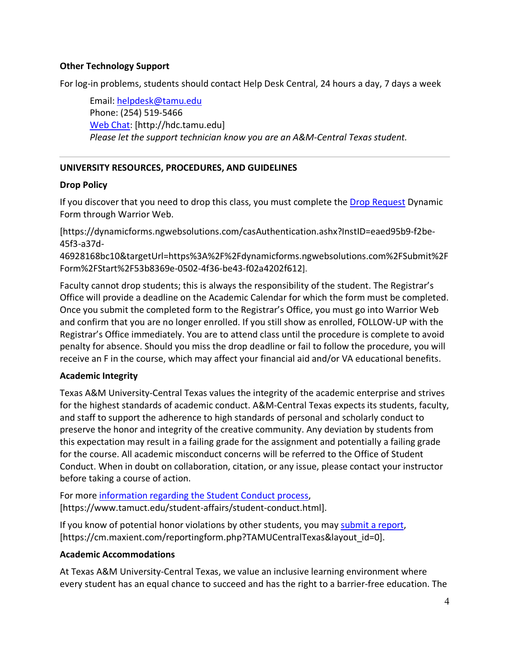# **Other Technology Support**

For log-in problems, students should contact Help Desk Central, 24 hours a day, 7 days a week

Email: helpdesk@tamu.edu Phone: (254) 519-5466 Web Chat: [http://hdc.tamu.edu] *Please let the support technician know you are an A&M-Central Texas student.*

# **UNIVERSITY RESOURCES, PROCEDURES, AND GUIDELINES**

## **Drop Policy**

If you discover that you need to drop this class, you must complete the Drop Request Dynamic Form through Warrior Web.

[https://dynamicforms.ngwebsolutions.com/casAuthentication.ashx?InstID=eaed95b9-f2be-45f3-a37d-

46928168bc10&targetUrl=https%3A%2F%2Fdynamicforms.ngwebsolutions.com%2FSubmit%2F Form%2FStart%2F53b8369e-0502-4f36-be43-f02a4202f612].

Faculty cannot drop students; this is always the responsibility of the student. The Registrar's Office will provide a deadline on the Academic Calendar for which the form must be completed. Once you submit the completed form to the Registrar's Office, you must go into Warrior Web and confirm that you are no longer enrolled. If you still show as enrolled, FOLLOW-UP with the Registrar's Office immediately. You are to attend class until the procedure is complete to avoid penalty for absence. Should you miss the drop deadline or fail to follow the procedure, you will receive an F in the course, which may affect your financial aid and/or VA educational benefits.

# **Academic Integrity**

Texas A&M University-Central Texas values the integrity of the academic enterprise and strives for the highest standards of academic conduct. A&M-Central Texas expects its students, faculty, and staff to support the adherence to high standards of personal and scholarly conduct to preserve the honor and integrity of the creative community. Any deviation by students from this expectation may result in a failing grade for the assignment and potentially a failing grade for the course. All academic misconduct concerns will be referred to the Office of Student Conduct. When in doubt on collaboration, citation, or any issue, please contact your instructor before taking a course of action.

For more information regarding the Student Conduct process, [https://www.tamuct.edu/student-affairs/student-conduct.html].

If you know of potential honor violations by other students, you may submit a report, [https://cm.maxient.com/reportingform.php?TAMUCentralTexas&layout\_id=0].

## **Academic Accommodations**

At Texas A&M University-Central Texas, we value an inclusive learning environment where every student has an equal chance to succeed and has the right to a barrier-free education. The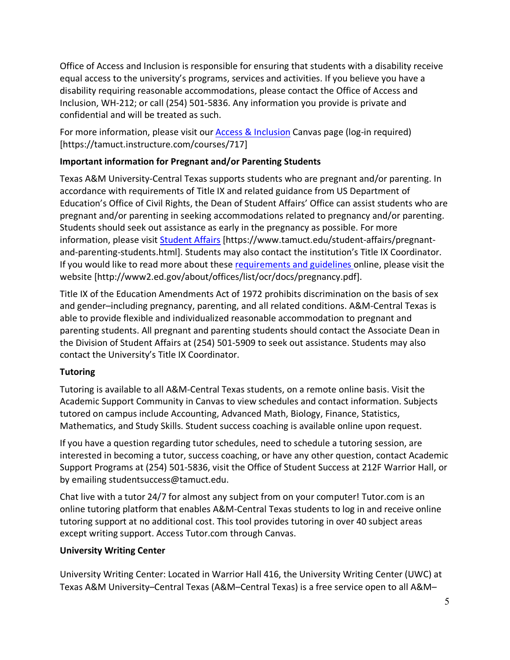Office of Access and Inclusion is responsible for ensuring that students with a disability receive equal access to the university's programs, services and activities. If you believe you have a disability requiring reasonable accommodations, please contact the Office of Access and Inclusion, WH-212; or call (254) 501-5836. Any information you provide is private and confidential and will be treated as such.

For more information, please visit our **Access & Inclusion** Canvas page (log-in required) [https://tamuct.instructure.com/courses/717]

# **Important information for Pregnant and/or Parenting Students**

Texas A&M University-Central Texas supports students who are pregnant and/or parenting. In accordance with requirements of Title IX and related guidance from US Department of Education's Office of Civil Rights, the Dean of Student Affairs' Office can assist students who are pregnant and/or parenting in seeking accommodations related to pregnancy and/or parenting. Students should seek out assistance as early in the pregnancy as possible. For more information, please visit Student Affairs [https://www.tamuct.edu/student-affairs/pregnantand-parenting-students.html]. Students may also contact the institution's Title IX Coordinator. If you would like to read more about these requirements and guidelines online, please visit the website [http://www2.ed.gov/about/offices/list/ocr/docs/pregnancy.pdf].

Title IX of the Education Amendments Act of 1972 prohibits discrimination on the basis of sex and gender–including pregnancy, parenting, and all related conditions. A&M-Central Texas is able to provide flexible and individualized reasonable accommodation to pregnant and parenting students. All pregnant and parenting students should contact the Associate Dean in the Division of Student Affairs at (254) 501-5909 to seek out assistance. Students may also contact the University's Title IX Coordinator.

# **Tutoring**

Tutoring is available to all A&M-Central Texas students, on a remote online basis. Visit the Academic Support Community in Canvas to view schedules and contact information. Subjects tutored on campus include Accounting, Advanced Math, Biology, Finance, Statistics, Mathematics, and Study Skills. Student success coaching is available online upon request.

If you have a question regarding tutor schedules, need to schedule a tutoring session, are interested in becoming a tutor, success coaching, or have any other question, contact Academic Support Programs at (254) 501-5836, visit the Office of Student Success at 212F Warrior Hall, or by emailing studentsuccess@tamuct.edu.

Chat live with a tutor 24/7 for almost any subject from on your computer! Tutor.com is an online tutoring platform that enables A&M-Central Texas students to log in and receive online tutoring support at no additional cost. This tool provides tutoring in over 40 subject areas except writing support. Access Tutor.com through Canvas.

# **University Writing Center**

University Writing Center: Located in Warrior Hall 416, the University Writing Center (UWC) at Texas A&M University–Central Texas (A&M–Central Texas) is a free service open to all A&M–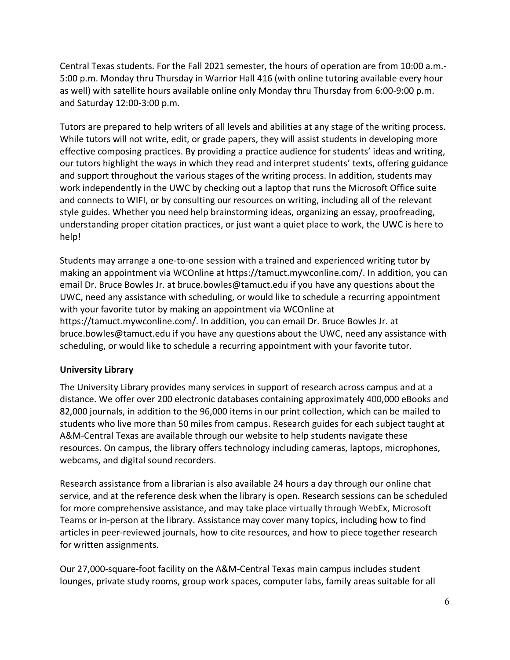Central Texas students. For the Fall 2021 semester, the hours of operation are from 10:00 a.m.- 5:00 p.m. Monday thru Thursday in Warrior Hall 416 (with online tutoring available every hour as well) with satellite hours available online only Monday thru Thursday from 6:00-9:00 p.m. and Saturday 12:00-3:00 p.m.

Tutors are prepared to help writers of all levels and abilities at any stage of the writing process. While tutors will not write, edit, or grade papers, they will assist students in developing more effective composing practices. By providing a practice audience for students' ideas and writing, our tutors highlight the ways in which they read and interpret students' texts, offering guidance and support throughout the various stages of the writing process. In addition, students may work independently in the UWC by checking out a laptop that runs the Microsoft Office suite and connects to WIFI, or by consulting our resources on writing, including all of the relevant style guides. Whether you need help brainstorming ideas, organizing an essay, proofreading, understanding proper citation practices, or just want a quiet place to work, the UWC is here to help!

Students may arrange a one-to-one session with a trained and experienced writing tutor by making an appointment via WCOnline at https://tamuct.mywconline.com/. In addition, you can email Dr. Bruce Bowles Jr. at bruce.bowles@tamuct.edu if you have any questions about the UWC, need any assistance with scheduling, or would like to schedule a recurring appointment with your favorite tutor by making an appointment via WCOnline at https://tamuct.mywconline.com/. In addition, you can email Dr. Bruce Bowles Jr. at bruce.bowles@tamuct.edu if you have any questions about the UWC, need any assistance with scheduling, or would like to schedule a recurring appointment with your favorite tutor.

## **University Library**

The University Library provides many services in support of research across campus and at a distance. We offer over 200 electronic databases containing approximately 400,000 eBooks and 82,000 journals, in addition to the 96,000 items in our print collection, which can be mailed to students who live more than 50 miles from campus. Research guides for each subject taught at A&M-Central Texas are available through our website to help students navigate these resources. On campus, the library offers technology including cameras, laptops, microphones, webcams, and digital sound recorders.

Research assistance from a librarian is also available 24 hours a day through our online chat service, and at the reference desk when the library is open. Research sessions can be scheduled for more comprehensive assistance, and may take place virtually through WebEx, Microsoft Teams or in-person at the library. Assistance may cover many topics, including how to find articles in peer-reviewed journals, how to cite resources, and how to piece together research for written assignments.

Our 27,000-square-foot facility on the A&M-Central Texas main campus includes student lounges, private study rooms, group work spaces, computer labs, family areas suitable for all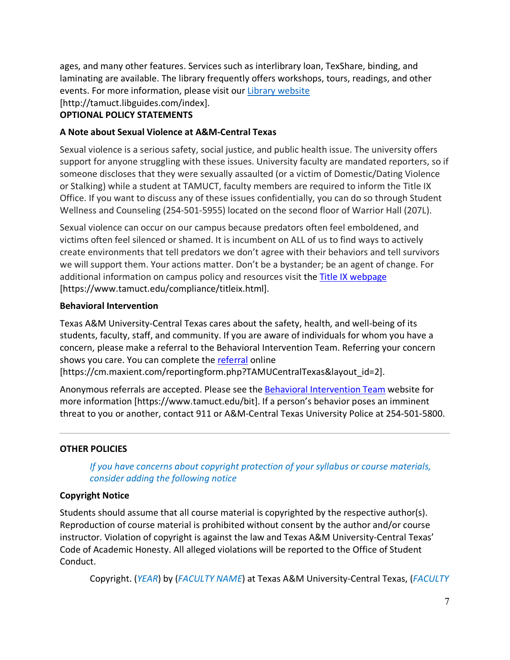ages, and many other features. Services such as interlibrary loan, TexShare, binding, and laminating are available. The library frequently offers workshops, tours, readings, and other events. For more information, please visit our Library website

[http://tamuct.libguides.com/index].

# **OPTIONAL POLICY STATEMENTS**

# **A Note about Sexual Violence at A&M-Central Texas**

Sexual violence is a serious safety, social justice, and public health issue. The university offers support for anyone struggling with these issues. University faculty are mandated reporters, so if someone discloses that they were sexually assaulted (or a victim of Domestic/Dating Violence or Stalking) while a student at TAMUCT, faculty members are required to inform the Title IX Office. If you want to discuss any of these issues confidentially, you can do so through Student Wellness and Counseling (254-501-5955) located on the second floor of Warrior Hall (207L).

Sexual violence can occur on our campus because predators often feel emboldened, and victims often feel silenced or shamed. It is incumbent on ALL of us to find ways to actively create environments that tell predators we don't agree with their behaviors and tell survivors we will support them. Your actions matter. Don't be a bystander; be an agent of change. For additional information on campus policy and resources visit the Title IX webpage [https://www.tamuct.edu/compliance/titleix.html].

## **Behavioral Intervention**

Texas A&M University-Central Texas cares about the safety, health, and well-being of its students, faculty, staff, and community. If you are aware of individuals for whom you have a concern, please make a referral to the Behavioral Intervention Team. Referring your concern shows you care. You can complete the referral online [https://cm.maxient.com/reportingform.php?TAMUCentralTexas&layout\_id=2].

Anonymous referrals are accepted. Please see the Behavioral Intervention Team website for more information [https://www.tamuct.edu/bit]. If a person's behavior poses an imminent threat to you or another, contact 911 or A&M-Central Texas University Police at 254-501-5800.

# **OTHER POLICIES**

*If you have concerns about copyright protection of your syllabus or course materials, consider adding the following notice*

# **Copyright Notice**

Students should assume that all course material is copyrighted by the respective author(s). Reproduction of course material is prohibited without consent by the author and/or course instructor. Violation of copyright is against the law and Texas A&M University-Central Texas' Code of Academic Honesty. All alleged violations will be reported to the Office of Student Conduct.

Copyright. (*YEAR*) by (*FACULTY NAME*) at Texas A&M University-Central Texas, (*FACULTY*